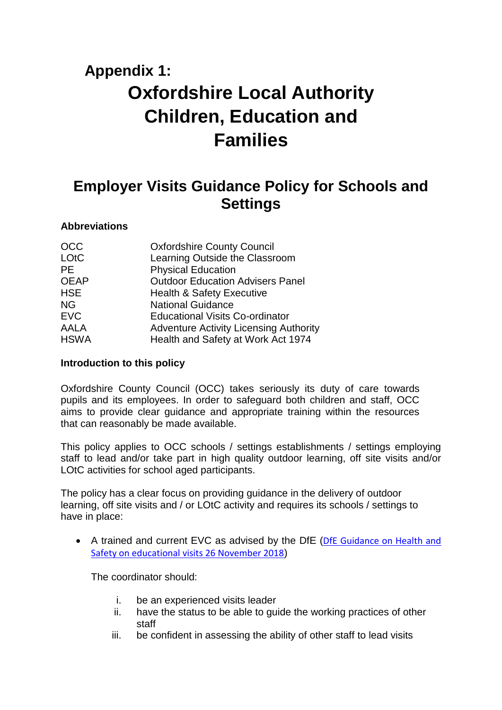# **Appendix 1: Oxfordshire Local Authority Children, Education and Families**

# **Employer Visits Guidance Policy for Schools and Settings**

# **Abbreviations**

| <b>Oxfordshire County Council</b>             |
|-----------------------------------------------|
| Learning Outside the Classroom                |
| <b>Physical Education</b>                     |
| <b>Outdoor Education Advisers Panel</b>       |
| <b>Health &amp; Safety Executive</b>          |
| <b>National Guidance</b>                      |
| <b>Educational Visits Co-ordinator</b>        |
| <b>Adventure Activity Licensing Authority</b> |
| Health and Safety at Work Act 1974            |
|                                               |

# **Introduction to this policy**

Oxfordshire County Council (OCC) takes seriously its duty of care towards pupils and its employees. In order to safeguard both children and staff, OCC aims to provide clear guidance and appropriate training within the resources that can reasonably be made available.

This policy applies to OCC schools / settings establishments / settings employing staff to lead and/or take part in high quality outdoor learning, off site visits and/or LOtC activities for school aged participants.

The policy has a clear focus on providing guidance in the delivery of outdoor learning, off site visits and / or LOtC activity and requires its schools / settings to have in place:

• A trained and current EVC as advised by the DfE ([DfE Guidance on Health and](https://www.gov.uk/government/publications/health-and-safety-on-educational-visits/health-and-safety-on-educational-visits)  [Safety on educational visits 26 November 2018](https://www.gov.uk/government/publications/health-and-safety-on-educational-visits/health-and-safety-on-educational-visits))

The coordinator should:

- i. be an experienced visits leader
- ii. have the status to be able to guide the working practices of other staff
- iii. be confident in assessing the ability of other staff to lead visits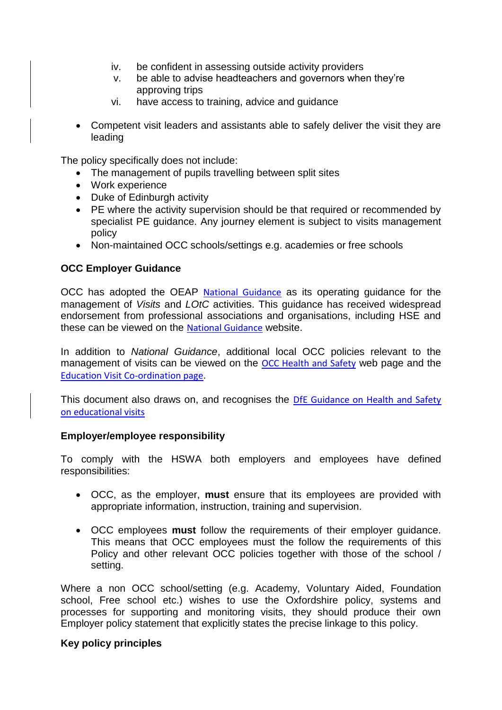- iv. be confident in assessing outside activity providers
- v. be able to advise headteachers and governors when they're approving trips
- vi. have access to training, advice and guidance
- Competent visit leaders and assistants able to safely deliver the visit they are leading

The policy specifically does not include:

- The management of pupils travelling between split sites
- Work experience
- Duke of Edinburgh activity
- PE where the activity supervision should be that required or recommended by specialist PE guidance. Any journey element is subject to visits management policy
- Non-maintained OCC schools/settings e.g. academies or free schools

# **OCC Employer Guidance**

OCC has adopted the OEAP [National Guidance](http://oeapng.info/) as its operating guidance for the management of *Visits* and *LOtC* activities. This guidance has received widespread endorsement from professional associations and organisations, including HSE and these can be viewed on the [National Guidance](http://oeapng.info/) website.

In addition to *National Guidance*, additional local OCC policies relevant to the management of visits can be viewed on the [OCC Health and Safety](http://schools.oxfordshire.gov.uk/cms/content/health-and-safety) web page and the [Education Visit Co-ordination page](http://schools.oxfordshire.gov.uk/cms/content/visits-advice-and-guidance).

This document also draws on, and recognises the DfE Guidance on Health and Safety [on educational visits](https://www.gov.uk/government/publications/health-and-safety-on-educational-visits/health-and-safety-on-educational-visits)

# **Employer/employee responsibility**

To comply with the HSWA both employers and employees have defined responsibilities:

- OCC, as the employer, **must** ensure that its employees are provided with appropriate information, instruction, training and supervision.
- OCC employees **must** follow the requirements of their employer guidance. This means that OCC employees must the follow the requirements of this Policy and other relevant OCC policies together with those of the school / setting.

Where a non OCC school/setting (e.g. Academy, Voluntary Aided, Foundation school, Free school etc.) wishes to use the Oxfordshire policy, systems and processes for supporting and monitoring visits, they should produce their own Employer policy statement that explicitly states the precise linkage to this policy.

# **Key policy principles**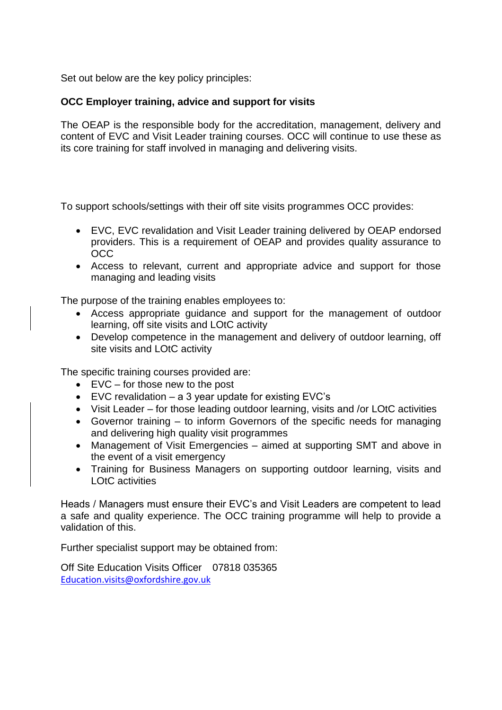Set out below are the key policy principles:

# **OCC Employer training, advice and support for visits**

The OEAP is the responsible body for the accreditation, management, delivery and content of EVC and Visit Leader training courses. OCC will continue to use these as its core training for staff involved in managing and delivering visits.

To support schools/settings with their off site visits programmes OCC provides:

- EVC, EVC revalidation and Visit Leader training delivered by OEAP endorsed providers. This is a requirement of OEAP and provides quality assurance to OCC
- Access to relevant, current and appropriate advice and support for those managing and leading visits

The purpose of the training enables employees to:

- Access appropriate guidance and support for the management of outdoor learning, off site visits and LOtC activity
- Develop competence in the management and delivery of outdoor learning, off site visits and LOtC activity

The specific training courses provided are:

- EVC for those new to the post
- EVC revalidation a 3 year update for existing EVC's
- Visit Leader for those leading outdoor learning, visits and /or LOtC activities
- Governor training to inform Governors of the specific needs for managing and delivering high quality visit programmes
- Management of Visit Emergencies aimed at supporting SMT and above in the event of a visit emergency
- Training for Business Managers on supporting outdoor learning, visits and LOtC activities

Heads / Managers must ensure their EVC's and Visit Leaders are competent to lead a safe and quality experience. The OCC training programme will help to provide a validation of this.

Further specialist support may be obtained from:

Off Site Education Visits Officer 07818 035365 [Education.visits@oxfordshire.gov.uk](mailto:Education.visits@oxfordshire.gov.uk)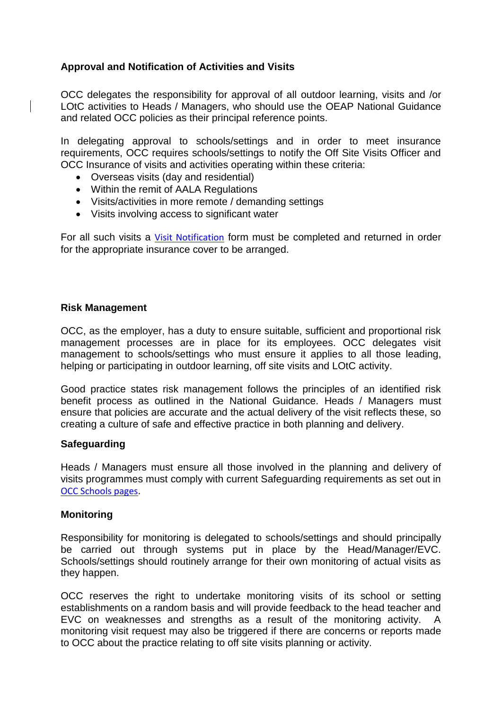# **Approval and Notification of Activities and Visits**

OCC delegates the responsibility for approval of all outdoor learning, visits and /or LOtC activities to Heads / Managers, who should use the OEAP National Guidance and related OCC policies as their principal reference points.

In delegating approval to schools/settings and in order to meet insurance requirements, OCC requires schools/settings to notify the Off Site Visits Officer and OCC Insurance of visits and activities operating within these criteria:

- Overseas visits (day and residential)
- Within the remit of AALA Regulations
- Visits/activities in more remote / demanding settings
- Visits involving access to significant water

For all such visits a [Visit Notification](http://schools.oxfordshire.gov.uk/cms/content/visits-advice-and-guidance) form must be completed and returned in order for the appropriate insurance cover to be arranged.

#### **Risk Management**

OCC, as the employer, has a duty to ensure suitable, sufficient and proportional risk management processes are in place for its employees. OCC delegates visit management to schools/settings who must ensure it applies to all those leading, helping or participating in outdoor learning, off site visits and LOtC activity.

Good practice states risk management follows the principles of an identified risk benefit process as outlined in the National Guidance. Heads / Managers must ensure that policies are accurate and the actual delivery of the visit reflects these, so creating a culture of safe and effective practice in both planning and delivery.

#### **Safeguarding**

Heads / Managers must ensure all those involved in the planning and delivery of visits programmes must comply with current Safeguarding requirements as set out in [OCC Schools pages](http://schools.oxfordshire.gov.uk/cms/content/safeguarding).

#### **Monitoring**

Responsibility for monitoring is delegated to schools/settings and should principally be carried out through systems put in place by the Head/Manager/EVC. Schools/settings should routinely arrange for their own monitoring of actual visits as they happen.

OCC reserves the right to undertake monitoring visits of its school or setting establishments on a random basis and will provide feedback to the head teacher and EVC on weaknesses and strengths as a result of the monitoring activity. A monitoring visit request may also be triggered if there are concerns or reports made to OCC about the practice relating to off site visits planning or activity.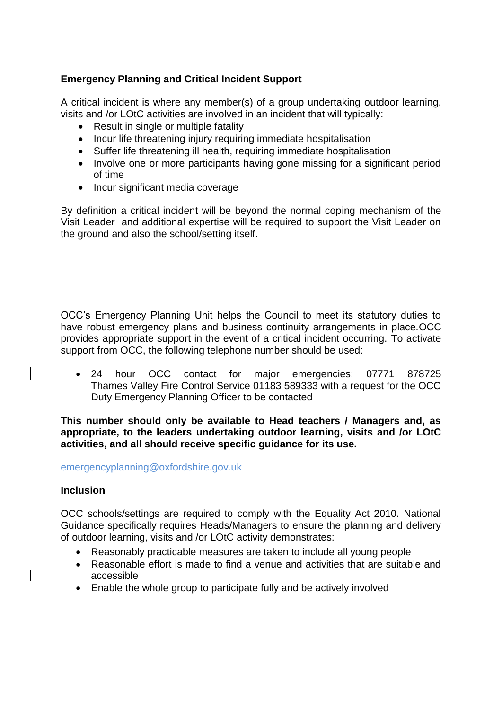# **Emergency Planning and Critical Incident Support**

A critical incident is where any member(s) of a group undertaking outdoor learning, visits and /or LOtC activities are involved in an incident that will typically:

- Result in single or multiple fatality
- Incur life threatening injury requiring immediate hospitalisation
- Suffer life threatening ill health, requiring immediate hospitalisation
- Involve one or more participants having gone missing for a significant period of time
- Incur significant media coverage

By definition a critical incident will be beyond the normal coping mechanism of the Visit Leader and additional expertise will be required to support the Visit Leader on the ground and also the school/setting itself.

OCC's Emergency Planning Unit helps the Council to meet its statutory duties to have robust emergency plans and business continuity arrangements in place.OCC provides appropriate support in the event of a critical incident occurring. To activate support from OCC, the following telephone number should be used:

• 24 hour OCC contact for major emergencies: 07771 878725 Thames Valley Fire Control Service 01183 589333 with a request for the OCC Duty Emergency Planning Officer to be contacted

**This number should only be available to Head teachers / Managers and, as appropriate, to the leaders undertaking outdoor learning, visits and /or LOtC activities, and all should receive specific guidance for its use.** 

[emergencyplanning@oxfordshire.gov.uk](mailto:emergencyplanning@oxfordshire.gov.uk)

# **Inclusion**

OCC schools/settings are required to comply with the Equality Act 2010. National Guidance specifically requires Heads/Managers to ensure the planning and delivery of outdoor learning, visits and /or LOtC activity demonstrates:

- Reasonably practicable measures are taken to include all young people
- Reasonable effort is made to find a venue and activities that are suitable and accessible
- Enable the whole group to participate fully and be actively involved